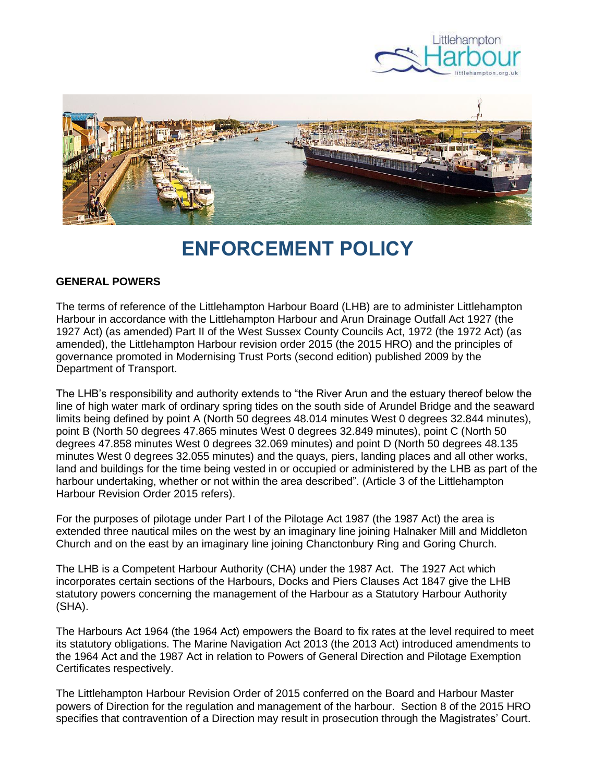



# **ENFORCEMENT POLICY**

#### **GENERAL POWERS**

The terms of reference of the Littlehampton Harbour Board (LHB) are to administer Littlehampton Harbour in accordance with the Littlehampton Harbour and Arun Drainage Outfall Act 1927 (the 1927 Act) (as amended) Part II of the West Sussex County Councils Act, 1972 (the 1972 Act) (as amended), the Littlehampton Harbour revision order 2015 (the 2015 HRO) and the principles of governance promoted in Modernising Trust Ports (second edition) published 2009 by the Department of Transport.

The LHB's responsibility and authority extends to "the River Arun and the estuary thereof below the line of high water mark of ordinary spring tides on the south side of Arundel Bridge and the seaward limits being defined by point A (North 50 degrees 48.014 minutes West 0 degrees 32.844 minutes), point B (North 50 degrees 47.865 minutes West 0 degrees 32.849 minutes), point C (North 50 degrees 47.858 minutes West 0 degrees 32.069 minutes) and point D (North 50 degrees 48.135 minutes West 0 degrees 32.055 minutes) and the quays, piers, landing places and all other works, land and buildings for the time being vested in or occupied or administered by the LHB as part of the harbour undertaking, whether or not within the area described". (Article 3 of the Littlehampton Harbour Revision Order 2015 refers).

For the purposes of pilotage under Part I of the Pilotage Act 1987 (the 1987 Act) the area is extended three nautical miles on the west by an imaginary line joining Halnaker Mill and Middleton Church and on the east by an imaginary line joining Chanctonbury Ring and Goring Church.

The LHB is a Competent Harbour Authority (CHA) under the 1987 Act. The 1927 Act which incorporates certain sections of the Harbours, Docks and Piers Clauses Act 1847 give the LHB statutory powers concerning the management of the Harbour as a Statutory Harbour Authority (SHA).

The Harbours Act 1964 (the 1964 Act) empowers the Board to fix rates at the level required to meet its statutory obligations. The Marine Navigation Act 2013 (the 2013 Act) introduced amendments to the 1964 Act and the 1987 Act in relation to Powers of General Direction and Pilotage Exemption Certificates respectively.

The Littlehampton Harbour Revision Order of 2015 conferred on the Board and Harbour Master powers of Direction for the regulation and management of the harbour. Section 8 of the 2015 HRO specifies that contravention of a Direction may result in prosecution through the Magistrates' Court.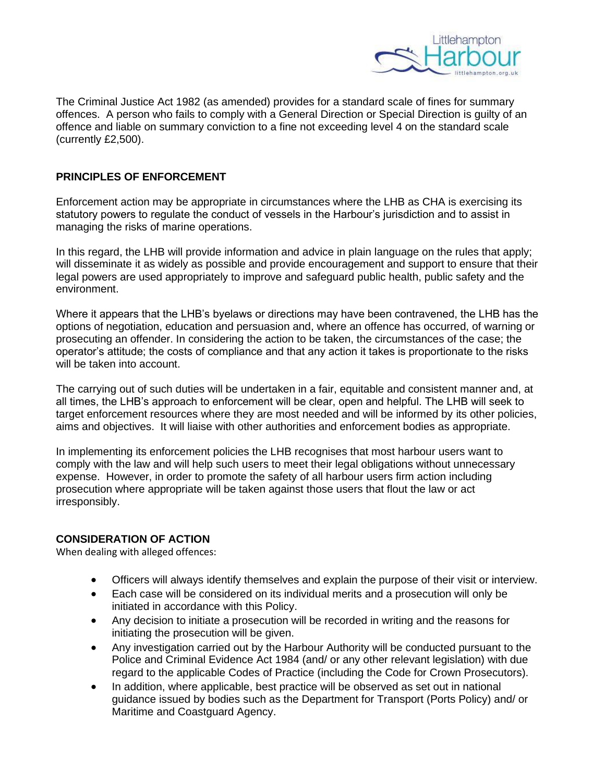

The Criminal Justice Act 1982 (as amended) provides for a standard scale of fines for summary offences. A person who fails to comply with a General Direction or Special Direction is guilty of an offence and liable on summary conviction to a fine not exceeding level 4 on the standard scale (currently £2,500).

#### **PRINCIPLES OF ENFORCEMENT**

Enforcement action may be appropriate in circumstances where the LHB as CHA is exercising its statutory powers to regulate the conduct of vessels in the Harbour's jurisdiction and to assist in managing the risks of marine operations.

In this regard, the LHB will provide information and advice in plain language on the rules that apply; will disseminate it as widely as possible and provide encouragement and support to ensure that their legal powers are used appropriately to improve and safeguard public health, public safety and the environment.

Where it appears that the LHB's byelaws or directions may have been contravened, the LHB has the options of negotiation, education and persuasion and, where an offence has occurred, of warning or prosecuting an offender. In considering the action to be taken, the circumstances of the case; the operator's attitude; the costs of compliance and that any action it takes is proportionate to the risks will be taken into account.

The carrying out of such duties will be undertaken in a fair, equitable and consistent manner and, at all times, the LHB's approach to enforcement will be clear, open and helpful. The LHB will seek to target enforcement resources where they are most needed and will be informed by its other policies, aims and objectives. It will liaise with other authorities and enforcement bodies as appropriate.

In implementing its enforcement policies the LHB recognises that most harbour users want to comply with the law and will help such users to meet their legal obligations without unnecessary expense. However, in order to promote the safety of all harbour users firm action including prosecution where appropriate will be taken against those users that flout the law or act irresponsibly.

### **CONSIDERATION OF ACTION**

When dealing with alleged offences:

- Officers will always identify themselves and explain the purpose of their visit or interview.
- Each case will be considered on its individual merits and a prosecution will only be initiated in accordance with this Policy.
- Any decision to initiate a prosecution will be recorded in writing and the reasons for initiating the prosecution will be given.
- Any investigation carried out by the Harbour Authority will be conducted pursuant to the Police and Criminal Evidence Act 1984 (and/ or any other relevant legislation) with due regard to the applicable Codes of Practice (including the Code for Crown Prosecutors).
- In addition, where applicable, best practice will be observed as set out in national guidance issued by bodies such as the Department for Transport (Ports Policy) and/ or Maritime and Coastguard Agency.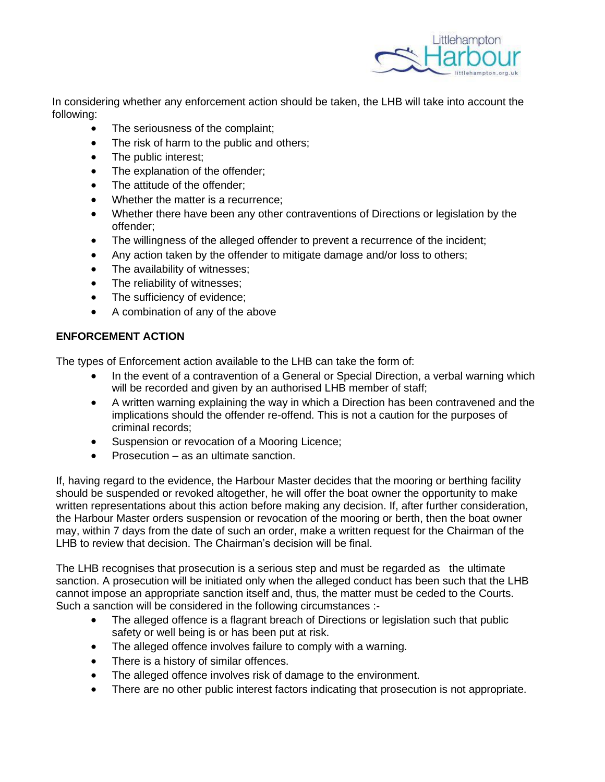

In considering whether any enforcement action should be taken, the LHB will take into account the following:

- The seriousness of the complaint;
- The risk of harm to the public and others;
- The public interest;
- The explanation of the offender;
- The attitude of the offender;
- Whether the matter is a recurrence;
- Whether there have been any other contraventions of Directions or legislation by the offender;
- The willingness of the alleged offender to prevent a recurrence of the incident;
- Any action taken by the offender to mitigate damage and/or loss to others;
- The availability of witnesses:
- The reliability of witnesses;
- The sufficiency of evidence;
- A combination of any of the above

## **ENFORCEMENT ACTION**

The types of Enforcement action available to the LHB can take the form of:

- In the event of a contravention of a General or Special Direction, a verbal warning which will be recorded and given by an authorised LHB member of staff;
- A written warning explaining the way in which a Direction has been contravened and the implications should the offender re-offend. This is not a caution for the purposes of criminal records;
- Suspension or revocation of a Mooring Licence;
- Prosecution as an ultimate sanction.

If, having regard to the evidence, the Harbour Master decides that the mooring or berthing facility should be suspended or revoked altogether, he will offer the boat owner the opportunity to make written representations about this action before making any decision. If, after further consideration, the Harbour Master orders suspension or revocation of the mooring or berth, then the boat owner may, within 7 days from the date of such an order, make a written request for the Chairman of the LHB to review that decision. The Chairman's decision will be final.

The LHB recognises that prosecution is a serious step and must be regarded as the ultimate sanction. A prosecution will be initiated only when the alleged conduct has been such that the LHB cannot impose an appropriate sanction itself and, thus, the matter must be ceded to the Courts. Such a sanction will be considered in the following circumstances :-

- The alleged offence is a flagrant breach of Directions or legislation such that public safety or well being is or has been put at risk.
- The alleged offence involves failure to comply with a warning.
- There is a history of similar offences.
- The alleged offence involves risk of damage to the environment.
- There are no other public interest factors indicating that prosecution is not appropriate.